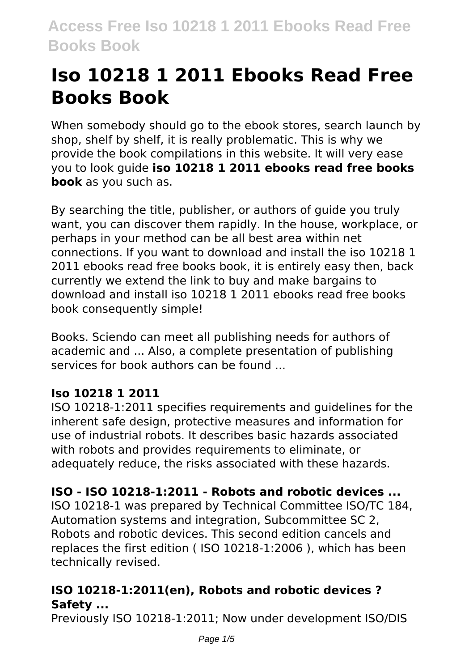# **Iso 10218 1 2011 Ebooks Read Free Books Book**

When somebody should go to the ebook stores, search launch by shop, shelf by shelf, it is really problematic. This is why we provide the book compilations in this website. It will very ease you to look guide **iso 10218 1 2011 ebooks read free books book** as you such as.

By searching the title, publisher, or authors of guide you truly want, you can discover them rapidly. In the house, workplace, or perhaps in your method can be all best area within net connections. If you want to download and install the iso 10218 1 2011 ebooks read free books book, it is entirely easy then, back currently we extend the link to buy and make bargains to download and install iso 10218 1 2011 ebooks read free books book consequently simple!

Books. Sciendo can meet all publishing needs for authors of academic and ... Also, a complete presentation of publishing services for book authors can be found ...

# **Iso 10218 1 2011**

ISO 10218-1:2011 specifies requirements and guidelines for the inherent safe design, protective measures and information for use of industrial robots. It describes basic hazards associated with robots and provides requirements to eliminate, or adequately reduce, the risks associated with these hazards.

# **ISO - ISO 10218-1:2011 - Robots and robotic devices ...**

ISO 10218-1 was prepared by Technical Committee ISO/TC 184, Automation systems and integration, Subcommittee SC 2, Robots and robotic devices. This second edition cancels and replaces the first edition ( ISO 10218-1:2006 ), which has been technically revised.

# **ISO 10218-1:2011(en), Robots and robotic devices ? Safety ...**

Previously ISO 10218-1:2011; Now under development ISO/DIS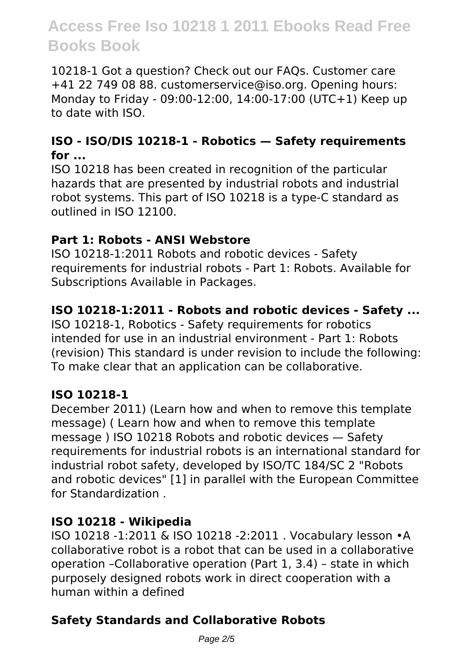10218-1 Got a question? Check out our FAQs. Customer care +41 22 749 08 88. customerservice@iso.org. Opening hours: Monday to Friday - 09:00-12:00, 14:00-17:00 (UTC+1) Keep up to date with ISO.

#### **ISO - ISO/DIS 10218-1 - Robotics — Safety requirements for ...**

ISO 10218 has been created in recognition of the particular hazards that are presented by industrial robots and industrial robot systems. This part of ISO 10218 is a type-C standard as outlined in ISO 12100.

#### **Part 1: Robots - ANSI Webstore**

ISO 10218-1:2011 Robots and robotic devices - Safety requirements for industrial robots - Part 1: Robots. Available for Subscriptions Available in Packages.

# **ISO 10218-1:2011 - Robots and robotic devices - Safety ...**

ISO 10218-1, Robotics - Safety requirements for robotics intended for use in an industrial environment - Part 1: Robots (revision) This standard is under revision to include the following: To make clear that an application can be collaborative.

#### **ISO 10218-1**

December 2011) (Learn how and when to remove this template message) ( Learn how and when to remove this template message ) ISO 10218 Robots and robotic devices — Safety requirements for industrial robots is an international standard for industrial robot safety, developed by ISO/TC 184/SC 2 "Robots and robotic devices" [1] in parallel with the European Committee for Standardization .

#### **ISO 10218 - Wikipedia**

ISO 10218 -1:2011 & ISO 10218 -2:2011 . Vocabulary lesson •A collaborative robot is a robot that can be used in a collaborative operation –Collaborative operation (Part 1, 3.4) – state in which purposely designed robots work in direct cooperation with a human within a defined

# **Safety Standards and Collaborative Robots**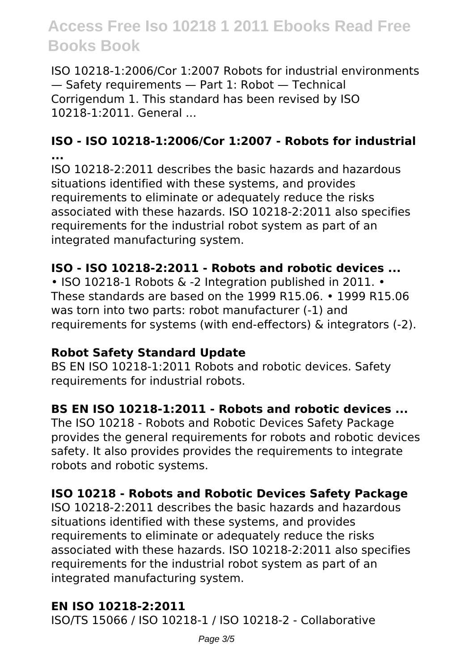ISO 10218-1:2006/Cor 1:2007 Robots for industrial environments — Safety requirements — Part 1: Robot — Technical Corrigendum 1. This standard has been revised by ISO 10218-1:2011. General ...

#### **ISO - ISO 10218-1:2006/Cor 1:2007 - Robots for industrial ...**

ISO 10218-2:2011 describes the basic hazards and hazardous situations identified with these systems, and provides requirements to eliminate or adequately reduce the risks associated with these hazards. ISO 10218-2:2011 also specifies requirements for the industrial robot system as part of an integrated manufacturing system.

#### **ISO - ISO 10218-2:2011 - Robots and robotic devices ...**

• ISO 10218-1 Robots & -2 Integration published in 2011. • These standards are based on the 1999 R15.06. • 1999 R15.06 was torn into two parts: robot manufacturer (-1) and requirements for systems (with end-effectors) & integrators (-2).

#### **Robot Safety Standard Update**

BS EN ISO 10218-1:2011 Robots and robotic devices. Safety requirements for industrial robots.

#### **BS EN ISO 10218-1:2011 - Robots and robotic devices ...**

The ISO 10218 - Robots and Robotic Devices Safety Package provides the general requirements for robots and robotic devices safety. It also provides provides the requirements to integrate robots and robotic systems.

#### **ISO 10218 - Robots and Robotic Devices Safety Package**

ISO 10218-2:2011 describes the basic hazards and hazardous situations identified with these systems, and provides requirements to eliminate or adequately reduce the risks associated with these hazards. ISO 10218-2:2011 also specifies requirements for the industrial robot system as part of an integrated manufacturing system.

#### **EN ISO 10218-2:2011**

ISO/TS 15066 / ISO 10218-1 / ISO 10218-2 - Collaborative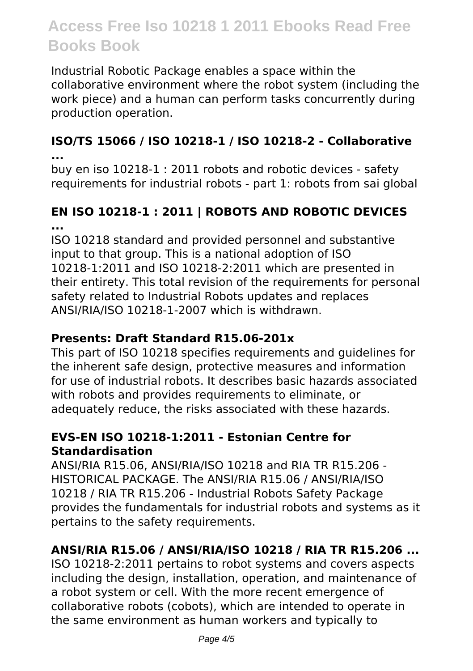Industrial Robotic Package enables a space within the collaborative environment where the robot system (including the work piece) and a human can perform tasks concurrently during production operation.

#### **ISO/TS 15066 / ISO 10218-1 / ISO 10218-2 - Collaborative ...**

buy en iso 10218-1 : 2011 robots and robotic devices - safety requirements for industrial robots - part 1: robots from sai global

# **EN ISO 10218-1 : 2011 | ROBOTS AND ROBOTIC DEVICES ...**

ISO 10218 standard and provided personnel and substantive input to that group. This is a national adoption of ISO 10218-1:2011 and ISO 10218-2:2011 which are presented in their entirety. This total revision of the requirements for personal safety related to Industrial Robots updates and replaces ANSI/RIA/ISO 10218-1-2007 which is withdrawn.

### **Presents: Draft Standard R15.06-201x**

This part of ISO 10218 specifies requirements and guidelines for the inherent safe design, protective measures and information for use of industrial robots. It describes basic hazards associated with robots and provides requirements to eliminate, or adequately reduce, the risks associated with these hazards.

#### **EVS-EN ISO 10218-1:2011 - Estonian Centre for Standardisation**

ANSI/RIA R15.06, ANSI/RIA/ISO 10218 and RIA TR R15.206 - HISTORICAL PACKAGE. The ANSI/RIA R15.06 / ANSI/RIA/ISO 10218 / RIA TR R15.206 - Industrial Robots Safety Package provides the fundamentals for industrial robots and systems as it pertains to the safety requirements.

# **ANSI/RIA R15.06 / ANSI/RIA/ISO 10218 / RIA TR R15.206 ...**

ISO 10218-2:2011 pertains to robot systems and covers aspects including the design, installation, operation, and maintenance of a robot system or cell. With the more recent emergence of collaborative robots (cobots), which are intended to operate in the same environment as human workers and typically to